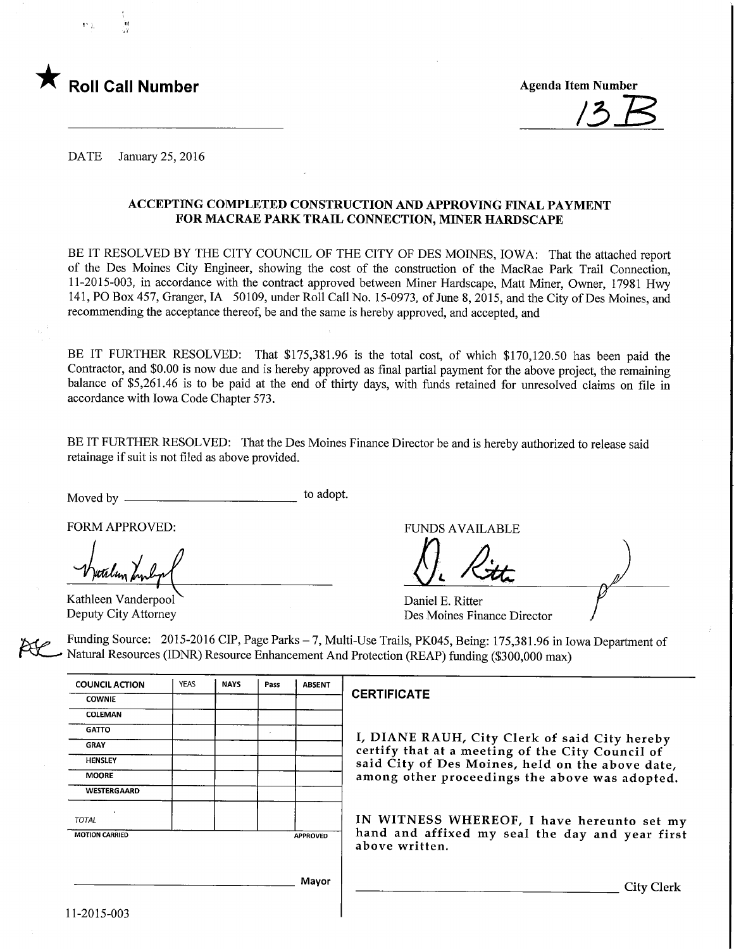

1. , 11

DATE January 25, 2016

#### ACCEPTmG COMPLETED CONSTRUCTION AND APPROVING FINAL PAYMENT FOR MACRAE PARK TRAIL CONNECTION, MINER HARDSCAPE

BE IT RESOLVED BY THE CITY COUNCIL OF THE CITY OF DES MOINES, IOWA: That the attached report of the Des Moines City Engineer, showing the cost of the construction of the MacRae Park Trail Connection, 11-2015-003, in accordance with the contract approved between Miner Hardscape, Matt Miner, Owner, 17981 Hwy 141, PO Box 457, Granger, IA 50109, under Roll Call No. 15-0973, of June 8, 2015, and the City of Des Moines, and recommending the acceptance thereof, be and the same is hereby approved, and accepted, and

BE IT FURTHER RESOLVED: That \$175,381.96 is the total cost, of which \$170,120.50 has been paid the Contractor, and \$0.00 is now due and is hereby approved as final partial payment for the above project, the remaining balance of \$5,261.46 is to be paid at the end of thirty days, with funds retained for unresolved claims on file in accordance with Iowa Code Chapter 573.

BE IT FURTHER RESOLVED: That the Des Moines Finance Director be and is hereby authorized to release said retainage if suit is not filed as above provided.

Moved by to adopt.

FORM APPROVED:<br>Verdlun hulp

Kathleen Vanderpool Deputy City Attorney

Daniel E. Ritter Des Moines Finance Director

Funding Source: 2015-2016 CIP, Page Parks - 7, Multi-Use Trails, PK045, Being: 175,381.96 in Iowa Department of Natural Resources (IDNR) Resource Enhancement And Protection (REAP) funding (\$300,000 max)

| <b>COUNCIL ACTION</b> | <b>YEAS</b> | <b>NAYS</b> | Pass | <b>ABSENT</b>   |  |
|-----------------------|-------------|-------------|------|-----------------|--|
| <b>COWNIE</b>         |             |             |      |                 |  |
| <b>COLEMAN</b>        |             |             |      |                 |  |
| <b>GATTO</b>          |             |             | ٠    |                 |  |
| <b>GRAY</b>           |             |             |      |                 |  |
| <b>HENSLEY</b>        |             |             |      |                 |  |
| <b>MOORE</b>          |             |             |      |                 |  |
| <b>WESTERGAARD</b>    |             |             |      |                 |  |
| ï<br><b>TOTAL</b>     |             |             |      |                 |  |
| <b>MOTION CARRIED</b> |             |             |      | <b>APPROVED</b> |  |
|                       |             |             |      |                 |  |
|                       |             |             |      |                 |  |
|                       |             |             |      | Mayor           |  |
|                       |             |             |      |                 |  |

#### **CERTIFICATE**

I, DIANE RAUH, City Clerk of said City hereby certify that at a meeting of the City Council of said City of Des Moines, held on the above date, among other proceedings the above was adopted.

IN WITNESS WHEREOF, I have hereunto set my hand and affixed my seal the day and year first above written.

City Clerk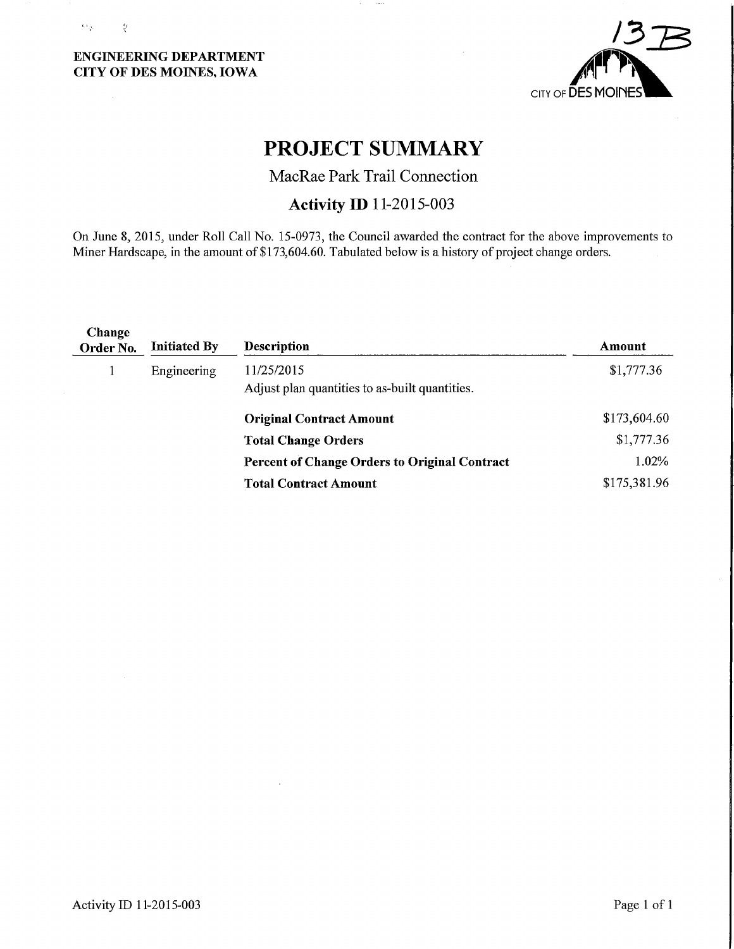### ENGINEERING DEPARTMENT CITY OF DES MOINES, IOWA

 $\mathcal{O}(\frac{1}{2})$ 

 $\frac{\epsilon_f}{\lambda}$ 

 $\bar{z}$ 



# PROJECT SUMMARY

MacRae Park Trail Connection

## Activity ID 11-2015-003

On June 8, 2015, under Roll Call No. 15-0973, the Council awarded the contract for the above improvements to Miner Hardscape, in the amount of \$173,604.60. Tabulated below is a history of project change orders.

| Change<br>Order No. | <b>Initiated By</b> | <b>Description</b>                                   | Amount       |
|---------------------|---------------------|------------------------------------------------------|--------------|
| x.                  | Engineering         | 11/25/2015                                           | \$1,777.36   |
|                     |                     | Adjust plan quantities to as-built quantities.       |              |
|                     |                     | <b>Original Contract Amount</b>                      | \$173,604.60 |
|                     |                     | <b>Total Change Orders</b>                           | \$1,777.36   |
|                     |                     | <b>Percent of Change Orders to Original Contract</b> | 1.02%        |
|                     |                     | <b>Total Contract Amount</b>                         | \$175,381.96 |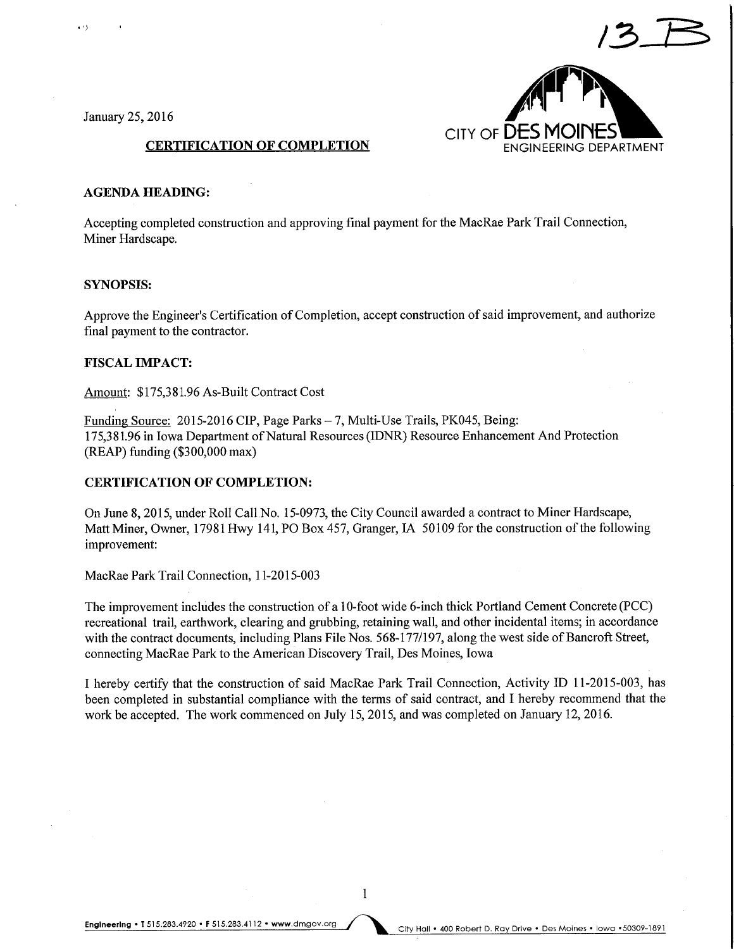

January 25, 2016

 $\cdots$ 

#### CERTIFICATION OF COMPLETION ENGINEERING DEPARTMENT

#### AGENDA HEADING:

Accepting completed construction and approving final payment for the MacRae Park Trail Connection, Miner Hardscape.

#### SYNOPSIS:

Approve the Engineer's Certification of Completion, accept construction of said improvement, and authorize final payment to the contractor.

#### FISCAL IMPACT:

Amount: \$175,381.96 As-Built Contract Cost

Funding Source: 2015-2016 CIP, Page Parks - 7, Multi-Use Trails, PK045, Being: 175,381.96 in Iowa Department of Natural Resources (IDNR) Resource Enhancement And Protection (REAP) funding (\$300,000 max)

#### CERTIFICATION OF COMPLETION:

On June 8, 2015, under Roll Call No. 15-0973, the City Council awarded a contract to Miner Hardscape, Matt Miner, Owner, 17981 Hwy 141, PO Box 457, Granger, IA 50109 for the construction of the following improvement:

MacRae Park Trail Connection, 1 1-2015-003

The improvement includes the construction of a 10-foot wide 6-inch thick Portland Cement Concrete (PCC) recreational trail, earthwork, clearing and grubbing, retaining wall, and other incidental items; in accordance with the contract documents, including Plans File Nos. 568-177/197, along the west side of Bancroft Street, connecting MacRae Park to the American Discovery Trail, Des Moines, Iowa

I hereby certify that the construction of said MacRae Park Trail Connection, Activity ID 11-2015-003, has been completed in substantial compliance with the terms of said contract, and I hereby recommend that the work be accepted. The work commenced on July 15, 2015, and was completed on January 12, 2016.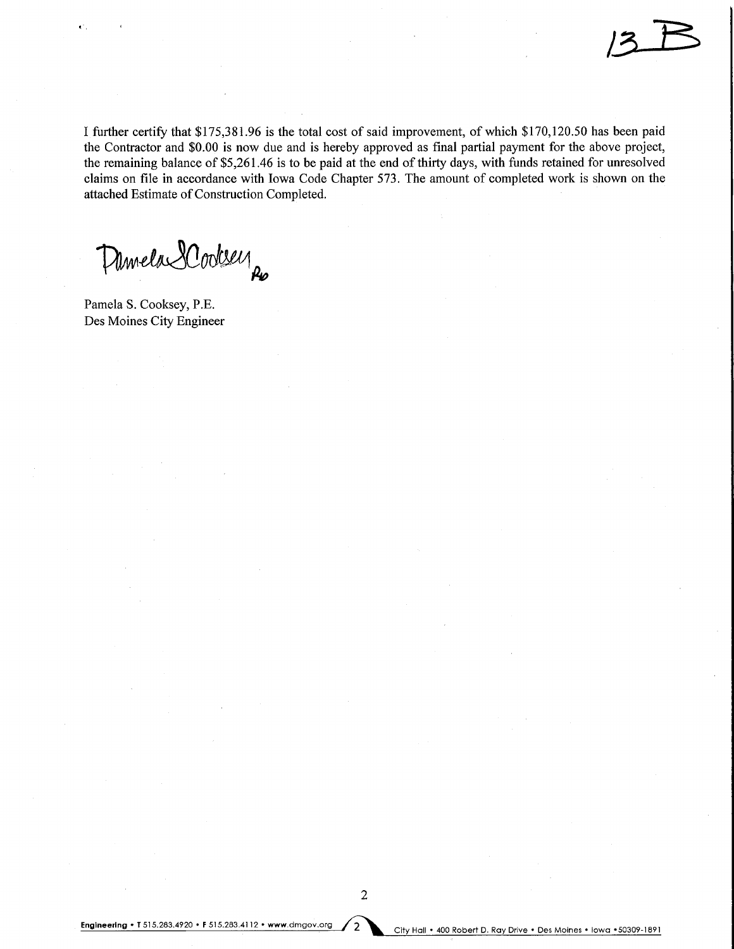I further certify that \$175,381.96 is the total cost of said improvement, of which \$170,120.50 has been paid the Contractor and \$0.00 is now due and is hereby approved as final partial payment for the above project, the remaining balance of \$5,261.46 is to be paid at the end of thirty days, with funds retained for unresolved claims on file in accordance with Iowa Code Chapter 573. The amount of completed work is shown on the attached Estimate of Construction Completed.

Demela 2 Cooksey

Pamela S. Cooksey, P.E. Des Moines City Engineer